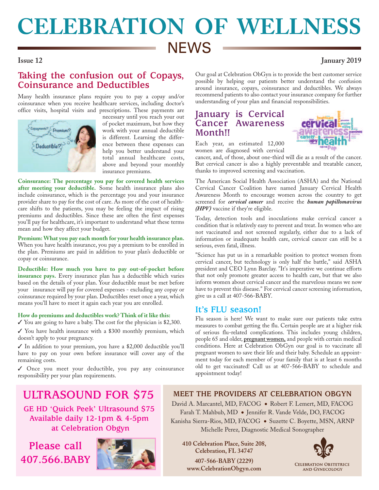# **CELEBRATION OF WELLNESS NEWS**

### **Issue 12 January 2019**

### **Taking the confusion out of Copays, Coinsurance and Deductibles**

Many health insurance plans require you to pay a copay and/or coinsurance when you receive healthcare services, including doctor's office visits, hospital visits and prescriptions. These payments are



necessary until you reach your out of pocket maximum, but how they work with your annual deductible is different. Learning the difference between these expenses can help you better understand your total annual healthcare costs, above and beyond your monthly insurance premiums.

**Coinsurance: The percentage you pay for covered health services after meeting your deductible.** Some health insurance plans also include coinsurance, which is the percentage you and your insurance provider share to pay for the cost of care. As more of the cost of healthcare shifts to the patients, you may be feeling the impact of rising premiums and deductibles. Since these are often the first expenses you'll pay for healthcare, it's important to understand what these terms mean and how they affect your budget.

**Premium: What you pay each month for your health insurance plan.**  When you have health insurance, you pay a premium to be enrolled in the plan. Premiums are paid in addition to your plan's deductible or copay or coinsurance.

**Deductible: How much you have to pay out-of-pocket before insurance pays.** Every insurance plan has a deductible which varies based on the details of your plan. Your deductible must be met before your insurance will pay for covered expenses - excluding any copay or coinsurance required by your plan. Deductibles reset once a year, which means you'll have to meet it again each year you are enrolled.

### **How do premiums and deductibles work? Think of it like this:**

 $\checkmark$  You are going to have a baby. The cost for the physician is \$2,300.

 $\checkmark$  You have health insurance with a \$300 monthly premium, which doesn't apply to your pregnancy.

3 In addition to your premium, you have a \$2,000 deductible you'll have to pay on your own before insurance will cover any of the remaining costs.

3 Once you meet your deductible, you pay any coinsurance responsibility per your plan requirements.

Our goal at Celebration ObGyn is to provide the best customer service possible by helping our patients better understand the confusion around insurance, copays, coinsurance and deductibles. We always recommend patients to also contact your insurance company for further understanding of your plan and financial responsibilities.

### **January is Cervical Cancer Awareness Month!!**



Each year, an estimated 12,000 women are diagnosed with cervical

cancer, and, of those, about one-third will die as a result of the cancer. But cervical cancer is also a highly preventable and treatable cancer, thanks to improved screening and vaccination.

The American Social Health Association (ASHA) and the National Cervical Cancer Coalition have named January Cervical Health Awareness Month to encourage women across the country to get screened for *cervical cancer* and receive the *human papillomavirus (HPV)* vaccine if they're eligible.

Today, detection tools and inoculations make cervical cancer a condition that is relatively easy to prevent and treat. In women who are not vaccinated and not screened regularly, either due to a lack of information or inadequate health care, cervical cancer can still be a serious, even fatal, illness.

"Science has put us in a remarkable position to protect women from cervical cancer, but technology is only half the battle," said ASHA president and CEO Lynn Barclay. "It's imperative we continue efforts that not only promote greater access to health care, but that we also inform women about cervical cancer and the marvelous means we now have to prevent this disease." For cervical cancer screening information, give us a call at 407-566-BABY.

### **It's FLU season!**

Flu season is here! We want to make sure our patients take extra measures to combat getting the flu. Certain people are at a higher risk of serious flu-related complications. This includes young children, people 65 and older, **pregnant women,** and people with certain medical conditions. Here at Celebration ObGyn our goal is to vaccinate all pregnant women to save their life and their baby. Schedule an appointment today for each member of your family that is at least 6 months old to get vaccinated! Call us at 407-566-BABY to schedule and appointment today!

## **ULTRASOUND FOR \$75**

**GE HD 'Quick Peek' Ultrasound \$75 Available daily 12-1pm & 4-5pm at Celebration Obgyn**

**Please call 407.566.BABY**



**MEET THE PROVIDERS AT CELEBRATION OBGYN** David A. Marcantel, MD, FACOG . Robert F. Lemert, MD, FACOG Farah T. Mahbub, MD ● Jennifer R. Vande Velde, DO, FACOG Kanisha Sierra-Rios, MD, FACOG ● Suzette C. Boyette, MSN, ARNP Michelle Perez, Diagnostic Medical Sonographer

**410 Celebration Place, Suite 208, Celebration, FL 34747 407-566-BABY (2229) www.CelebrationObgyn.com**